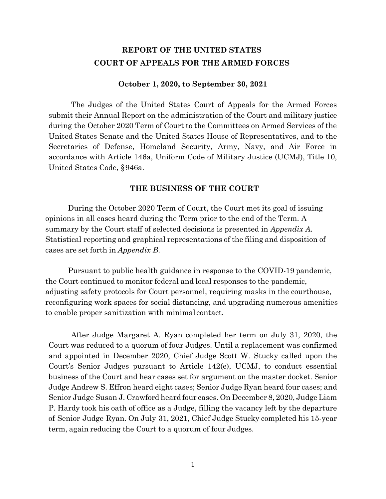### **REPORT OF THE UNITED STATES COURT OF APPEALS FOR THE ARMED FORCES**

#### **October 1, 2020, to September 30, 2021**

The Judges of the United States Court of Appeals for the Armed Forces submit their Annual Report on the administration of the Court and military justice during the October 2020 Term of Court to the Committees on Armed Services of the United States Senate and the United States House of Representatives, and to the Secretaries of Defense, Homeland Security, Army, Navy, and Air Force in accordance with Article 146a, Uniform Code of Military Justice (UCMJ), Title 10, United States Code, §946a.

#### **THE BUSINESS OF THE COURT**

During the October 2020 Term of Court, the Court met its goal of issuing opinions in all cases heard during the Term prior to the end of the Term. A summary by the Court staff of selected decisions is presented in *Appendix A*. Statistical reporting and graphical representations of the filing and disposition of cases are set forth in *Appendix B*.

Pursuant to public health guidance in response to the COVID-19 pandemic, the Court continued to monitor federal and local responses to the pandemic, adjusting safety protocols for Court personnel, requiring masks in the courthouse, reconfiguring work spaces for social distancing, and upgrading numerous amenities to enable proper sanitization with minimal contact.

After Judge Margaret A. Ryan completed her term on July 31, 2020, the Court was reduced to a quorum of four Judges. Until a replacement was confirmed and appointed in December 2020, Chief Judge Scott W. Stucky called upon the Court's Senior Judges pursuant to Article 142(e), UCMJ, to conduct essential business of the Court and hear cases set for argument on the master docket. Senior Judge Andrew S. Effron heard eight cases; Senior Judge Ryan heard four cases; and Senior Judge Susan J. Crawford heard four cases. On December 8, 2020, Judge Liam P. Hardy took his oath of office as a Judge, filling the vacancy left by the departure of Senior Judge Ryan. On July 31, 2021, Chief Judge Stucky completed his 15-year term, again reducing the Court to a quorum of four Judges.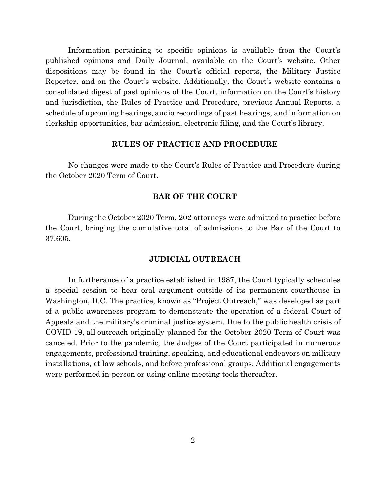Information pertaining to specific opinions is available from the Court's published opinions and Daily Journal, available on the Court's website. Other dispositions may be found in the Court's official reports, the Military Justice Reporter, and on the Court's website. Additionally, the Court's website contains a consolidated digest of past opinions of the Court, information on the Court's history and jurisdiction, the Rules of Practice and Procedure, previous Annual Reports, a schedule of upcoming hearings, audio recordings of past hearings, and information on clerkship opportunities, bar admission, electronic filing, and the Court's library.

#### **RULES OF PRACTICE AND PROCEDURE**

No changes were made to the Court's Rules of Practice and Procedure during the October 2020 Term of Court.

#### **BAR OF THE COURT**

During the October 2020 Term, 202 attorneys were admitted to practice before the Court, bringing the cumulative total of admissions to the Bar of the Court to 37,605.

#### **JUDICIAL OUTREACH**

In furtherance of a practice established in 1987, the Court typically schedules a special session to hear oral argument outside of its permanent courthouse in Washington, D.C. The practice, known as "Project Outreach," was developed as part of a public awareness program to demonstrate the operation of a federal Court of Appeals and the military's criminal justice system. Due to the public health crisis of COVID-19, all outreach originally planned for the October 2020 Term of Court was canceled. Prior to the pandemic, the Judges of the Court participated in numerous engagements, professional training, speaking, and educational endeavors on military installations, at law schools, and before professional groups. Additional engagements were performed in-person or using online meeting tools thereafter.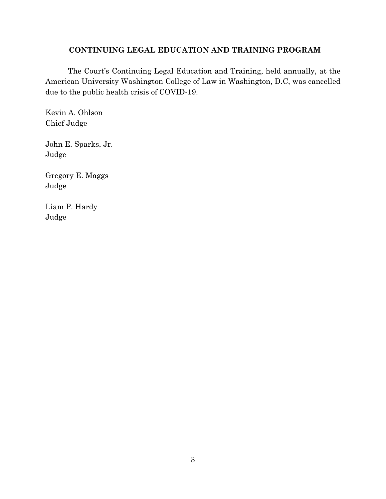#### **CONTINUING LEGAL EDUCATION AND TRAINING PROGRAM**

The Court's Continuing Legal Education and Training, held annually, at the American University Washington College of Law in Washington, D.C, was cancelled due to the public health crisis of COVID-19.

Kevin A. Ohlson Chief Judge

John E. Sparks, Jr. Judge

Gregory E. Maggs Judge

Liam P. Hardy Judge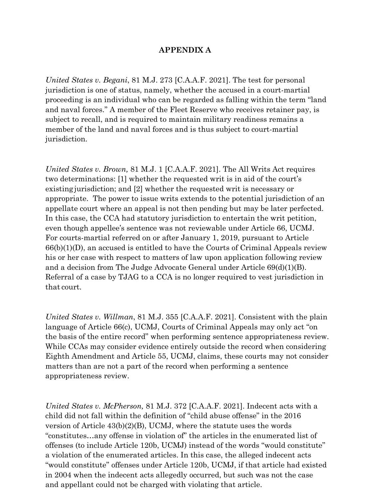#### **APPENDIX A**

*United States v. Begani*, 81 M.J. 273 [C.A.A.F. 2021]. The test for personal jurisdiction is one of status, namely, whether the accused in a court-martial proceeding is an individual who can be regarded as falling within the term "land and naval forces." A member of the Fleet Reserve who receives retainer pay, is subject to recall, and is required to maintain military readiness remains a member of the land and naval forces and is thus subject to court-martial jurisdiction.

*United States v. Brown,* 81 M.J. 1 [C.A.A.F. 2021]. The All Writs Act requires two determinations: [1] whether the requested writ is in aid of the court's existing jurisdiction; and [2] whether the requested writ is necessary or appropriate. The power to issue writs extends to the potential jurisdiction of an appellate court where an appeal is not then pending but may be later perfected. In this case, the CCA had statutory jurisdiction to entertain the writ petition, even though appellee's sentence was not reviewable under Article 66, UCMJ. For courts-martial referred on or after January 1, 2019, pursuant to Article  $66(b)(1)(D)$ , an accused is entitled to have the Courts of Criminal Appeals review his or her case with respect to matters of law upon application following review and a decision from The Judge Advocate General under Article 69(d)(1)(B). Referral of a case by TJAG to a CCA is no longer required to vest jurisdiction in that court.

*United States v. Willman*, 81 M.J. 355 [C.A.A.F. 2021]. Consistent with the plain language of Article 66(c), UCMJ, Courts of Criminal Appeals may only act "on the basis of the entire record" when performing sentence appropriateness review. While CCAs may consider evidence entirely outside the record when considering Eighth Amendment and Article 55, UCMJ, claims, these courts may not consider matters than are not a part of the record when performing a sentence appropriateness review.

*United States v. McPherson,* 81 M.J. 372 [C.A.A.F. 2021]. Indecent acts with a child did not fall within the definition of "child abuse offense" in the 2016 version of Article 43(b)(2)(B), UCMJ, where the statute uses the words "constitutes…any offense in violation of" the articles in the enumerated list of offenses (to include Article 120b, UCMJ) instead of the words "would constitute" a violation of the enumerated articles. In this case, the alleged indecent acts "would constitute" offenses under Article 120b, UCMJ, if that article had existed in 2004 when the indecent acts allegedly occurred, but such was not the case and appellant could not be charged with violating that article.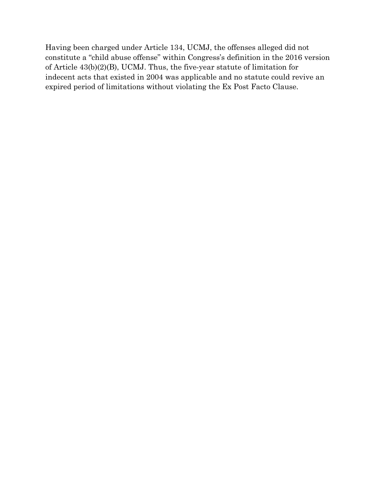Having been charged under Article 134, UCMJ, the offenses alleged did not constitute a "child abuse offense" within Congress's definition in the 2016 version of Article 43(b)(2)(B), UCMJ. Thus, the five-year statute of limitation for indecent acts that existed in 2004 was applicable and no statute could revive an expired period of limitations without violating the Ex Post Facto Clause.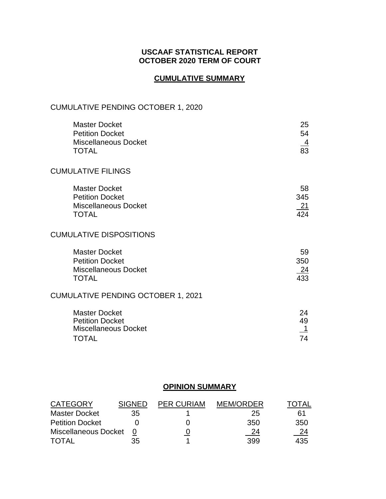### **USCAAF STATISTICAL REPORT OCTOBER 2020 TERM OF COURT**

### **CUMULATIVE SUMMARY**

### CUMULATIVE PENDING OCTOBER 1, 2020

| <b>Master Docket</b><br><b>Petition Docket</b><br><b>Miscellaneous Docket</b><br><b>TOTAL</b> | 25<br>54<br>$\frac{4}{83}$                  |
|-----------------------------------------------------------------------------------------------|---------------------------------------------|
| <b>CUMULATIVE FILINGS</b>                                                                     |                                             |
| <b>Master Docket</b><br><b>Petition Docket</b><br><b>Miscellaneous Docket</b><br><b>TOTAL</b> | 58<br>345<br><u> 21</u><br>$\overline{424}$ |
| <b>CUMULATIVE DISPOSITIONS</b>                                                                |                                             |
| <b>Master Docket</b><br><b>Petition Docket</b><br><b>Miscellaneous Docket</b><br><b>TOTAL</b> | 59<br>350<br>$\frac{24}{433}$               |
| CUMULATIVE PENDING OCTOBER 1, 2021                                                            |                                             |
| <b>Master Docket</b><br><b>Petition Docket</b><br><b>Miscellaneous Docket</b><br><b>TOTAL</b> | 24<br>49<br>$\overline{1}$<br>74            |

### **OPINION SUMMARY**

| <b>CATEGORY</b>        | <b>SIGNED</b> | <b>PER CURIAM</b> | <b>MEM/ORDER</b> | <b>TOTAL</b> |
|------------------------|---------------|-------------------|------------------|--------------|
| <b>Master Docket</b>   | 35            |                   | 25               | 61           |
| <b>Petition Docket</b> |               |                   | 350              | 350          |
| Miscellaneous Docket   |               |                   | 24               | 24           |
| <b>TOTAL</b>           | 35            |                   | 399              | 435          |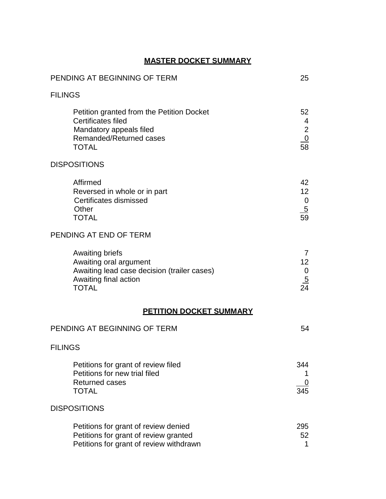### **MASTER DOCKET SUMMARY**

| PENDING AT BEGINNING OF TERM                                                                                                                 |                                                          |
|----------------------------------------------------------------------------------------------------------------------------------------------|----------------------------------------------------------|
| <b>FILINGS</b>                                                                                                                               |                                                          |
| Petition granted from the Petition Docket<br>Certificates filed<br>Mandatory appeals filed<br><b>Remanded/Returned cases</b><br><b>TOTAL</b> | 52<br>4<br>$\overline{2}$<br>$\frac{0}{58}$              |
| <b>DISPOSITIONS</b>                                                                                                                          |                                                          |
| Affirmed<br>Reversed in whole or in part<br>Certificates dismissed<br>Other<br><b>TOTAL</b>                                                  | 42<br>12 <sup>2</sup><br>$\mathbf 0$<br>$\frac{5}{59}$   |
| PENDING AT END OF TERM                                                                                                                       |                                                          |
| <b>Awaiting briefs</b><br>Awaiting oral argument<br>Awaiting lead case decision (trailer cases)<br>Awaiting final action<br><b>TOTAL</b>     | $\overline{7}$<br>12 <sup>2</sup><br>0<br>$\frac{5}{24}$ |
| <b>PETITION DOCKET SUMMARY</b>                                                                                                               |                                                          |
| PENDING AT BEGINNING OF TERM                                                                                                                 | 54                                                       |
| <b>FILINGS</b>                                                                                                                               |                                                          |
| Petitions for grant of review filed<br>Petitions for new trial filed<br><b>Returned cases</b><br><b>TOTAL</b>                                | 344<br>345                                               |
| <b>DISPOSITIONS</b>                                                                                                                          |                                                          |
| Petitions for grant of review denied<br>Petitions for grant of review granted<br>Petitions for grant of review withdrawn                     | 295<br>52<br>1                                           |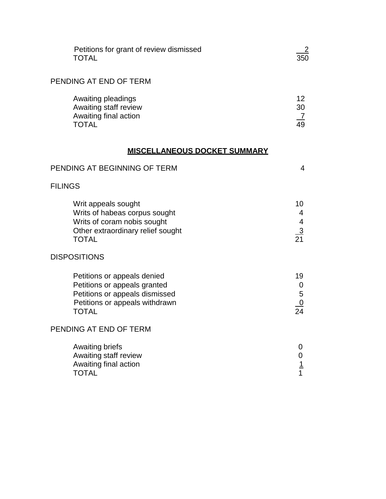| Petitions for grant of review dismissed<br><b>TOTAL</b>                                                                                         | 350                                     |
|-------------------------------------------------------------------------------------------------------------------------------------------------|-----------------------------------------|
| PENDING AT END OF TERM                                                                                                                          |                                         |
| Awaiting pleadings<br>Awaiting staff review<br>Awaiting final action<br><b>TOTAL</b>                                                            | 12 <sup>2</sup><br>30<br>$\frac{7}{49}$ |
| <b>MISCELLANEOUS DOCKET SUMMARY</b>                                                                                                             |                                         |
| PENDING AT BEGINNING OF TERM                                                                                                                    | 4                                       |
| <b>FILINGS</b>                                                                                                                                  |                                         |
| Writ appeals sought<br>Writs of habeas corpus sought<br>Writs of coram nobis sought<br>Other extraordinary relief sought<br><b>TOTAL</b>        | 10<br>4<br>$\frac{4}{21}$               |
| <b>DISPOSITIONS</b>                                                                                                                             |                                         |
| Petitions or appeals denied<br>Petitions or appeals granted<br>Petitions or appeals dismissed<br>Petitions or appeals withdrawn<br><b>TOTAL</b> | 19<br>0<br>5<br>$\frac{0}{24}$          |
| PENDING AT END OF TERM                                                                                                                          |                                         |
| <b>Awaiting briefs</b><br>Awaiting staff review<br>Awaiting final action<br><b>TOTAL</b>                                                        | 0<br>$\frac{1}{1}$                      |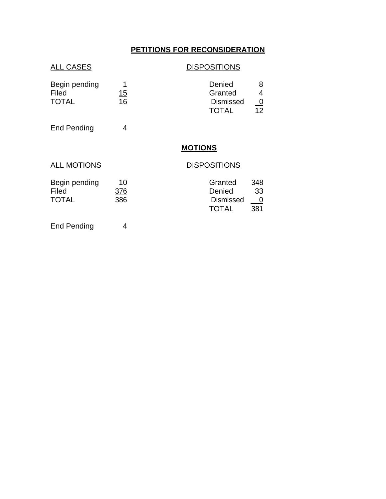### **PETITIONS FOR RECONSIDERATION**

### ALL CASES DISPOSITIONS

| Begin pending      |    | Denied             |
|--------------------|----|--------------------|
| Filed              | 15 | Granted<br>4       |
| <b>TOTAL</b>       | 16 | <b>Dismissed</b>   |
|                    |    | 12<br><b>TOTAL</b> |
| <b>End Pending</b> |    |                    |
|                    |    | <b>MOTIONS</b>     |

### ALL MOTIONS DISPOSITIONS

| 10  | Granted          | 348  |
|-----|------------------|------|
| 376 | Denied           | 33   |
| 386 | <b>Dismissed</b> | __ 0 |
|     | <b>TOTAL</b>     | 381  |
|     |                  |      |

End Pending 4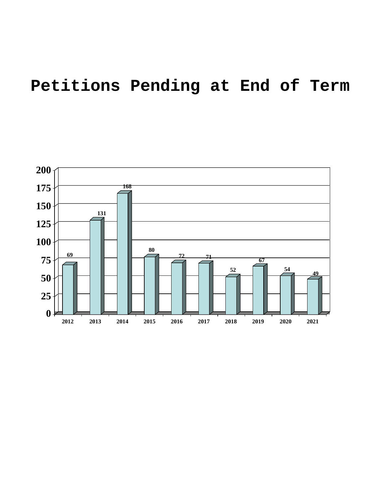# **Petitions Pending at End of Term**

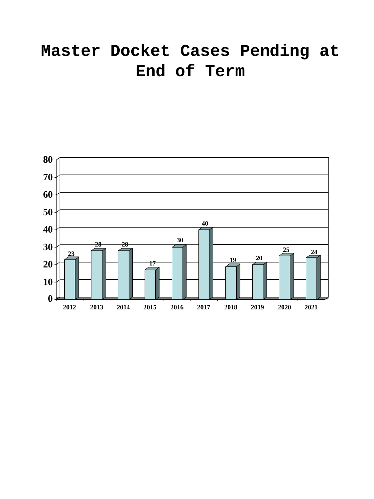# **Master Docket Cases Pending at End of Term**

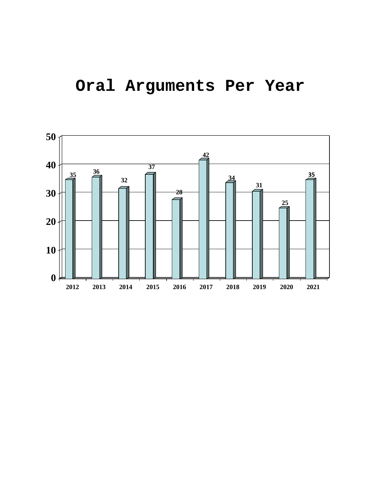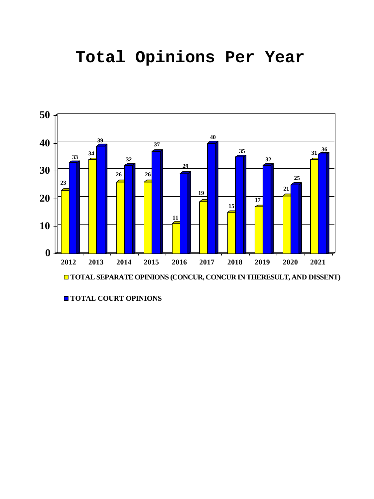## **Total Opinions Per Year**



**TOTAL COURT OPINIONS**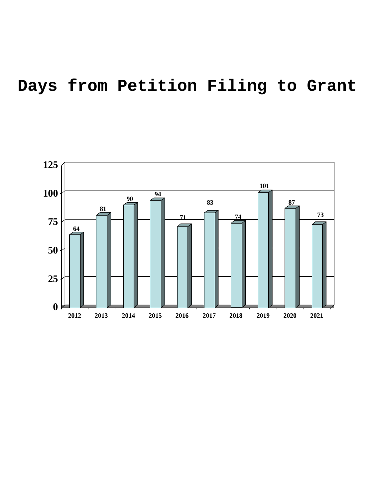# **Days from Petition Filing to Grant**

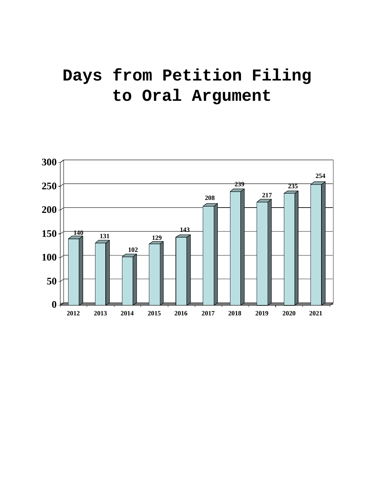# **Days from Petition Filing to Oral Argument**

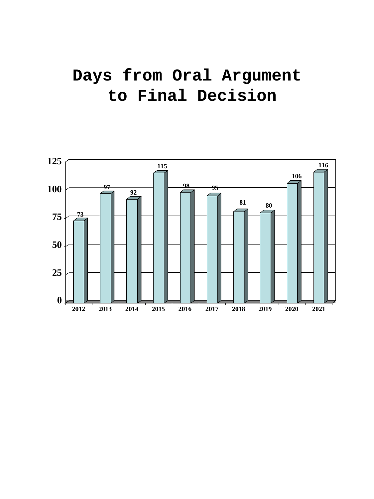# **Days from Oral Argument to Final Decision**

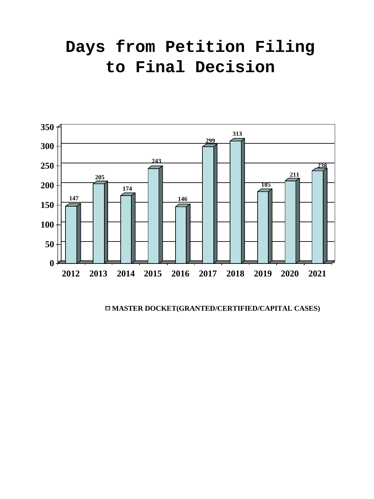# **Days from Petition Filing to Final Decision**



**MASTER DOCKET(GRANTED/CERTIFIED/CAPITAL CASES)**